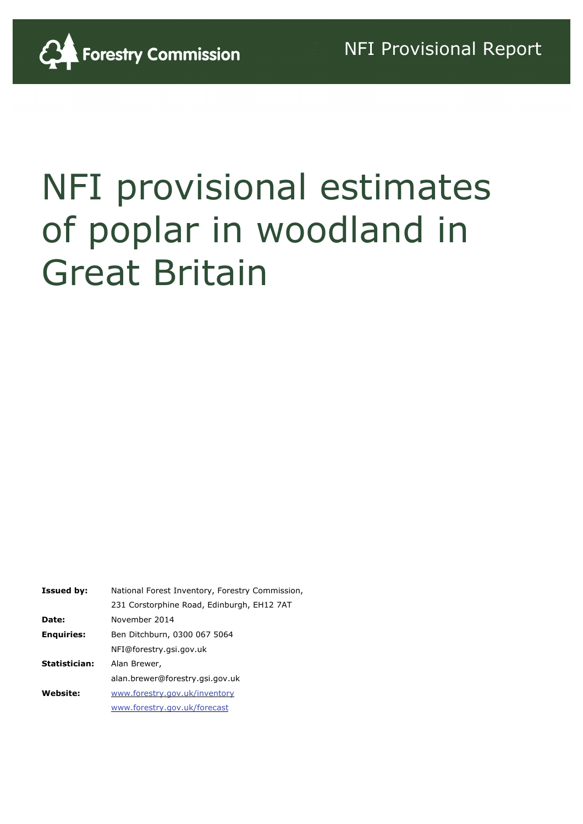

# NFI provisional estimates of poplar in woodland in Great Britain

| <b>Issued by:</b> | National Forest Inventory, Forestry Commission |  |  |  |
|-------------------|------------------------------------------------|--|--|--|
|                   | 231 Corstorphine Road, Edinburgh, EH12 7AT     |  |  |  |
| Date:             | November 2014                                  |  |  |  |
| <b>Enquiries:</b> | Ben Ditchburn, 0300 067 5064                   |  |  |  |
|                   | NFI@forestry.gsi.gov.uk                        |  |  |  |
| Statistician:     | Alan Brewer,                                   |  |  |  |
|                   | alan.brewer@forestry.gsi.gov.uk                |  |  |  |
| Website:          | www.forestry.gov.uk/inventory                  |  |  |  |
|                   | www.forestry.gov.uk/forecast                   |  |  |  |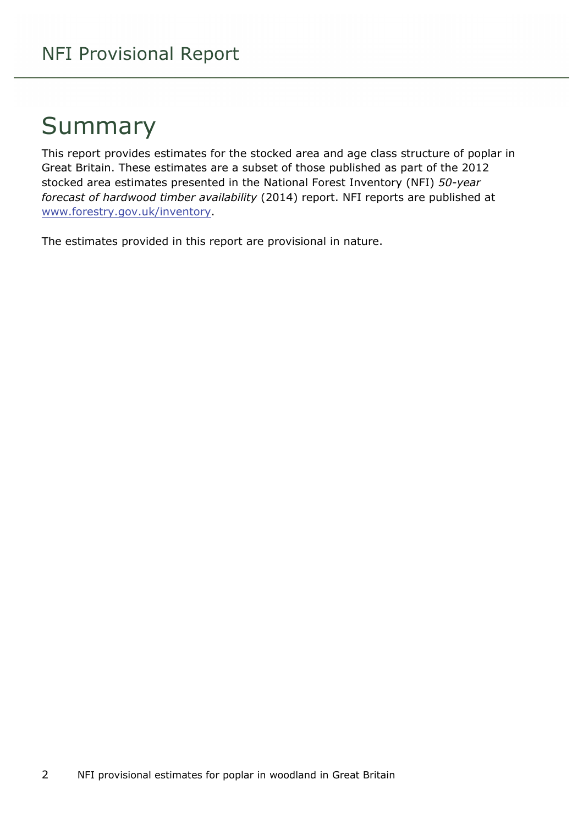### Summary

This report provides estimates for the stocked area and age class structure of poplar in Great Britain. These estimates are a subset of those published as part of the 2012 stocked area estimates presented in the National Forest Inventory (NFI) *50-year forecast of hardwood timber availability* (2014) report. NFI reports are published at [www.forestry.gov.uk/inventory](http://www.forestry.gov.uk/inventory).

The estimates provided in this report are provisional in nature.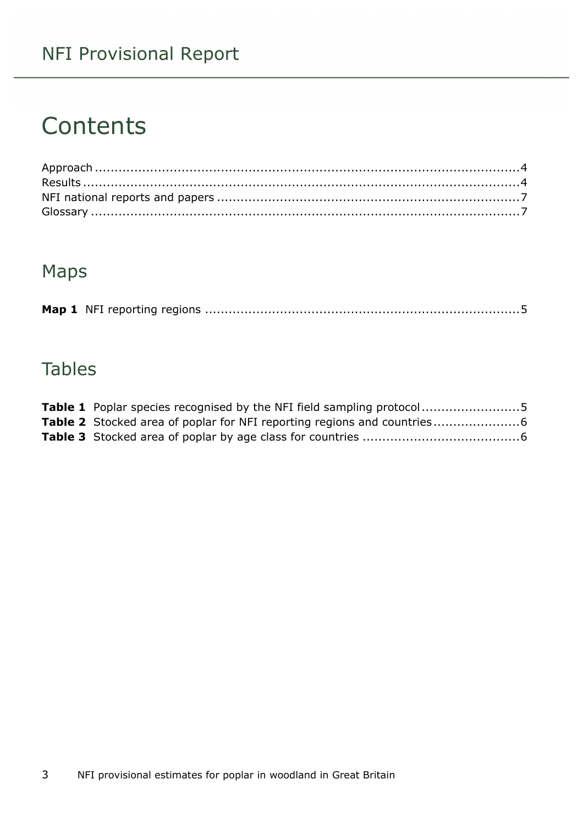#### NFI Provisional Report

### **Contents**

#### Maps

|--|--|--|--|

#### **Tables**

| <b>Table 1</b> Poplar species recognised by the NFI field sampling protocol5 |  |
|------------------------------------------------------------------------------|--|
|                                                                              |  |
|                                                                              |  |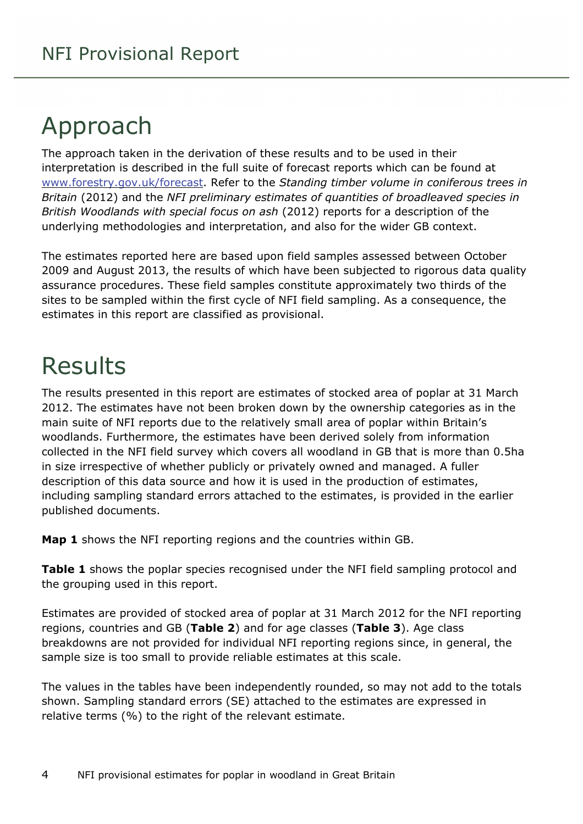## <span id="page-3-0"></span>Approach

The approach taken in the derivation of these results and to be used in their interpretation is described in the full suite of forecast reports which can be found at [www.forestry.gov.uk/forecast](http://www.forestry.gov.uk/forecast). Refer to the *Standing timber volume in coniferous trees in Britain* (2012) and the *NFI preliminary estimates of quantities of broadleaved species in British Woodlands with special focus on ash* (2012) reports for a description of the underlying methodologies and interpretation, and also for the wider GB context.

The estimates reported here are based upon field samples assessed between October 2009 and August 2013, the results of which have been subjected to rigorous data quality assurance procedures. These field samples constitute approximately two thirds of the sites to be sampled within the first cycle of NFI field sampling. As a consequence, the estimates in this report are classified as provisional.

### <span id="page-3-1"></span>Results

The results presented in this report are estimates of stocked area of poplar at 31 March 2012. The estimates have not been broken down by the ownership categories as in the main suite of NFI reports due to the relatively small area of poplar within Britain's woodlands. Furthermore, the estimates have been derived solely from information collected in the NFI field survey which covers all woodland in GB that is more than 0.5ha in size irrespective of whether publicly or privately owned and managed. A fuller description of this data source and how it is used in the production of estimates, including sampling standard errors attached to the estimates, is provided in the earlier published documents.

**Map 1** shows the NFI reporting regions and the countries within GB.

**Table 1** shows the poplar species recognised under the NFI field sampling protocol and the grouping used in this report.

Estimates are provided of stocked area of poplar at 31 March 2012 for the NFI reporting regions, countries and GB (**Table 2**) and for age classes (**Table 3**). Age class breakdowns are not provided for individual NFI reporting regions since, in general, the sample size is too small to provide reliable estimates at this scale.

The values in the tables have been independently rounded, so may not add to the totals shown. Sampling standard errors (SE) attached to the estimates are expressed in relative terms (%) to the right of the relevant estimate.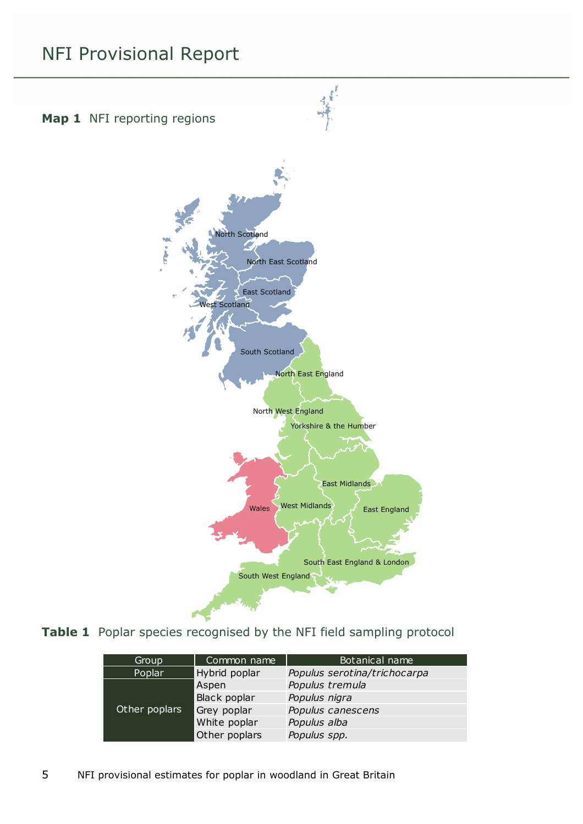#### NFI Provisional Report

<span id="page-4-0"></span>

<span id="page-4-1"></span>**Table 1** Poplar species recognised by the NFI field sampling protocol

| Common name<br>Group    |               | Botanical name               |  |  |
|-------------------------|---------------|------------------------------|--|--|
| Poplar<br>Hybrid poplar |               | Populus serotina/trichocarpa |  |  |
| Other poplars           | Aspen         | Populus tremula              |  |  |
|                         | Black poplar  | Populus nigra                |  |  |
|                         | Grey poplar   | Populus canescens            |  |  |
|                         | White poplar  | Populus alba                 |  |  |
|                         | Other poplars | Populus spp.                 |  |  |

5 NFI provisional estimates for poplar in woodland in Great Britain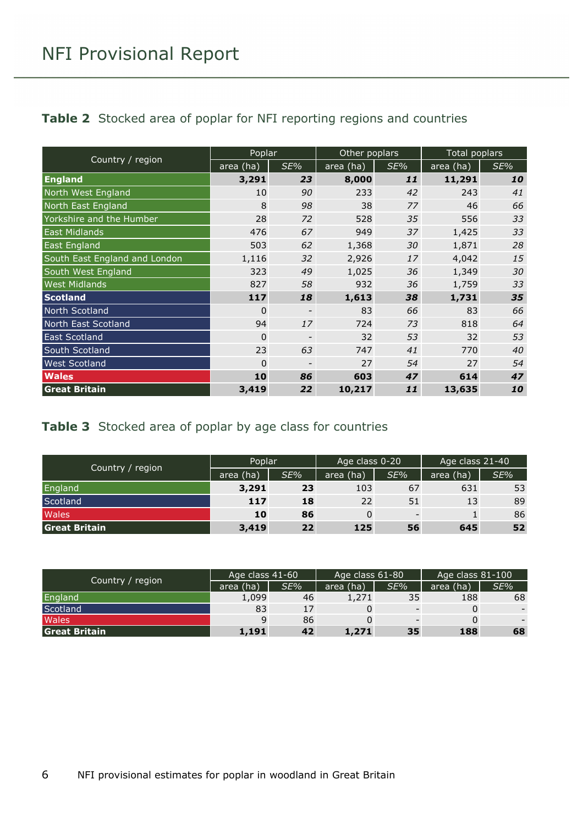<span id="page-5-0"></span>

|  |  | Table 2 Stocked area of poplar for NFI reporting regions and countries |  |
|--|--|------------------------------------------------------------------------|--|
|  |  |                                                                        |  |

| Country / region              | Poplar      |     | Other poplars |     | Total poplars |     |
|-------------------------------|-------------|-----|---------------|-----|---------------|-----|
|                               | area (ha)   | SE% | area (ha)     | SE% | area (ha)     | SE% |
| <b>England</b>                | 3,291       | 23  | 8,000         | 11  | 11,291        | 10  |
| North West England            | 10          | 90  | 233           | 42  | 243           | 41  |
| North East England            | 8           | 98  | 38            | 77  | 46            | 66  |
| Yorkshire and the Humber      | 28          | 72  | 528           | 35  | 556           | 33  |
| <b>East Midlands</b>          | 476         | 67  | 949           | 37  | 1,425         | 33  |
| East England                  | 503         | 62  | 1,368         | 30  | 1,871         | 28  |
| South East England and London | 1,116       | 32  | 2,926         | 17  | 4,042         | 15  |
| South West England            | 323         | 49  | 1,025         | 36  | 1,349         | 30  |
| <b>West Midlands</b>          | 827         | 58  | 932           | 36  | 1,759         | 33  |
| <b>Scotland</b>               | 117         | 18  | 1,613         | 38  | 1,731         | 35  |
| North Scotland                | $\Omega$    |     | 83            | 66  | 83            | 66  |
| North East Scotland           | 94          | 17  | 724           | 73  | 818           | 64  |
| <b>East Scotland</b>          | $\mathbf 0$ |     | 32            | 53  | 32            | 53  |
| South Scotland                | 23          | 63  | 747           | 41  | 770           | 40  |
| <b>West Scotland</b>          | 0           |     | 27            | 54  | 27            | 54  |
| <b>Wales</b>                  | 10          | 86  | 603           | 47  | 614           | 47  |
| <b>Great Britain</b>          | 3,419       | 22  | 10,217        | 11  | 13,635        | 10  |

#### <span id="page-5-1"></span>**Table 3** Stocked area of poplar by age class for countries

|                      | Poplar    |     | Age class 0-20 |                          | Age class 21-40 |     |
|----------------------|-----------|-----|----------------|--------------------------|-----------------|-----|
| Country / region     | area (ha) | SE% | area (ha)      | SE%                      | area (ha)       | SE% |
| England              | 3,291     | 23  | 103            | 67                       | 631             | 53  |
| Scotland             | 117       | 18  | 22             | 51                       | 13              | 89  |
| Wales                | 10        | 86  | 0              | $\overline{\phantom{0}}$ |                 | 86  |
| <b>Great Britain</b> | 3,419     | 22  | 125            | 56                       | 645             | 52  |

|                      | Age class 41-60 |     | Age class 61-80 |     | Age class 81-100 |     |
|----------------------|-----------------|-----|-----------------|-----|------------------|-----|
| Country / region     | area (ha)       | SE% | area (ha)       | SE% | area (ha)        | SE% |
| England              | 1,099           | 46  | 1,271           | 35  | 188              | 68  |
| Scotland             | 83              | 17  | 0               |     |                  |     |
| <b>Wales</b>         | 9               | 86  | 0               |     |                  |     |
| <b>Great Britain</b> | 1,191           | 42  | 1,271           | 35  | 188              | 68  |